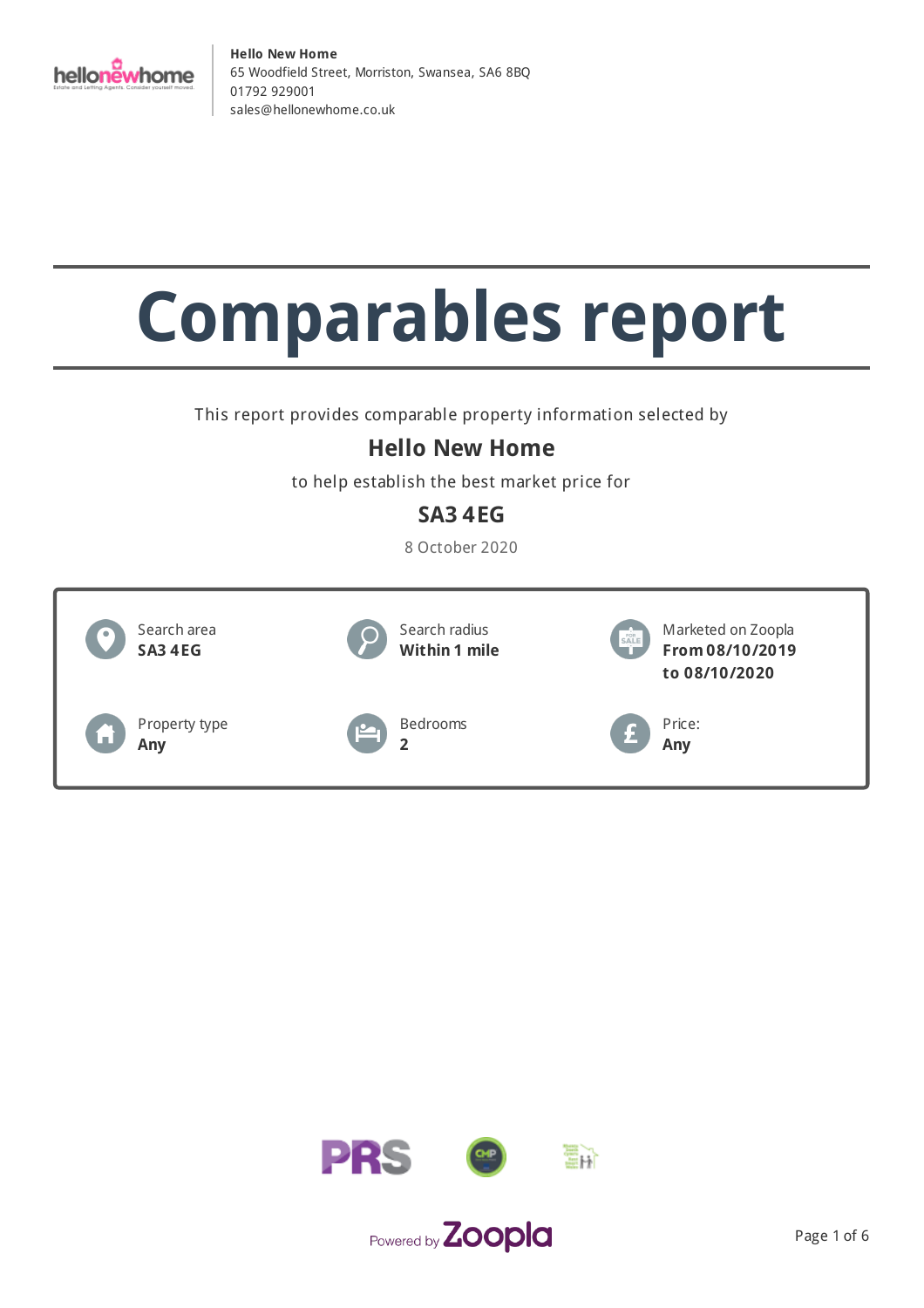

# **Comparables report**

This report provides comparable property information selected by

## **Hello New Home**

to help establish the best market price for

## **SA3 4EG**

8 October 2020



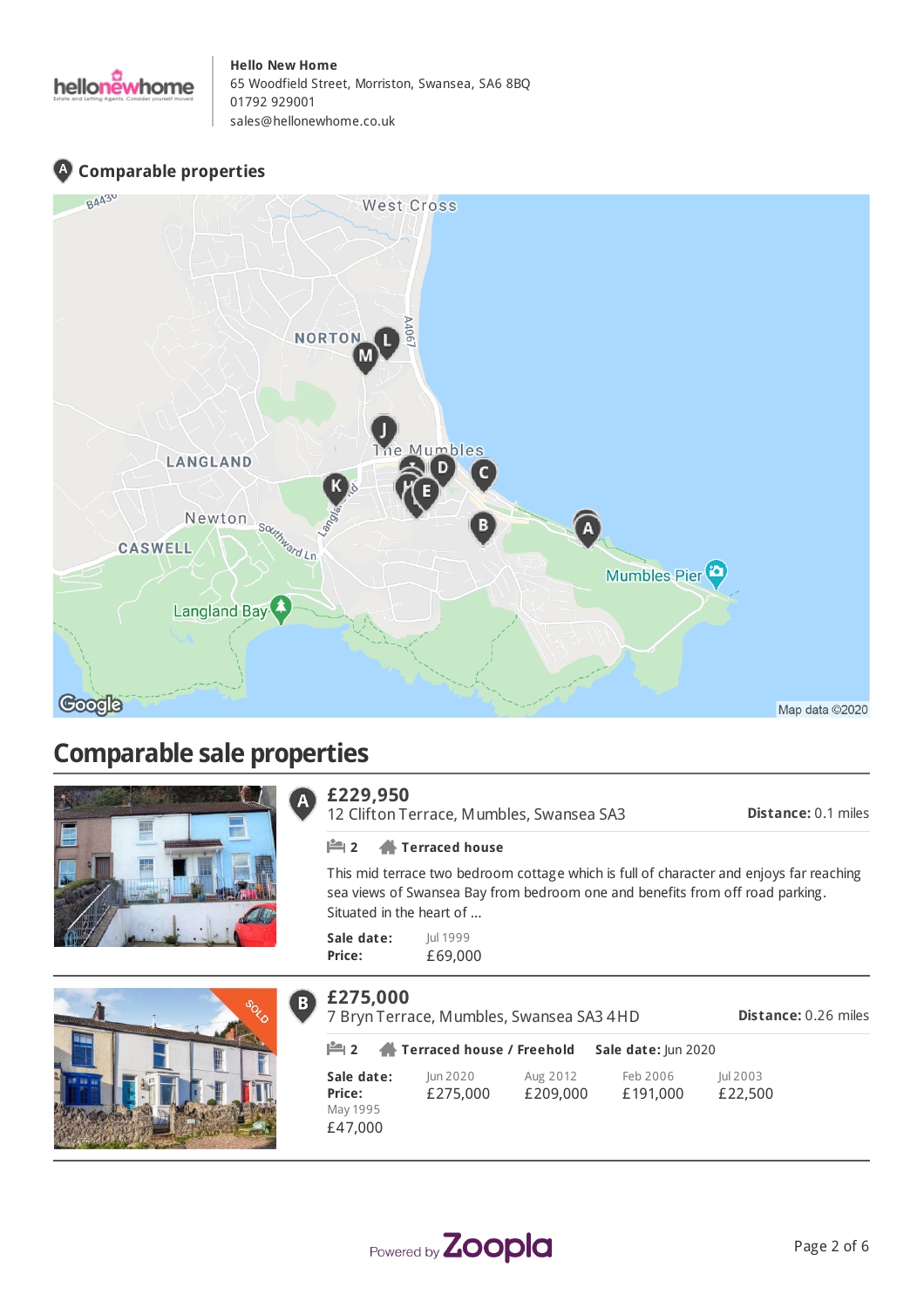

## **Comparable properties**



# **Comparable sale properties**





#### **£229,950**  $\overline{\mathbf{A}}$

12 Clifton Terrace, Mumbles, Swansea SA3

**Distance:** 0.1 miles

#### **2 Terraced house**

This mid terrace two bedroom cottage which is full of character and enjoys far reaching sea views of Swansea Bay from bedroom one and benefits from off road parking. Situated in the heart of ...

**Sale date: Price:** Jul 1999 £69,000

| £275,000             | 7 Bryn Terrace, Mumbles, Swansea SA3 4HD |                      |                      | <b>Distance: 0.26 miles</b> |
|----------------------|------------------------------------------|----------------------|----------------------|-----------------------------|
|                      | <b>  ■ 2 ● Terraced house / Freehold</b> |                      | Sale date: Jun 2020  |                             |
| Sale date:<br>Price: | Jun 2020<br>£275,000                     | Aug 2012<br>£209,000 | Feb 2006<br>£191,000 | Jul 2003<br>£22,500         |
| May 1995<br>£47,000  |                                          |                      |                      |                             |

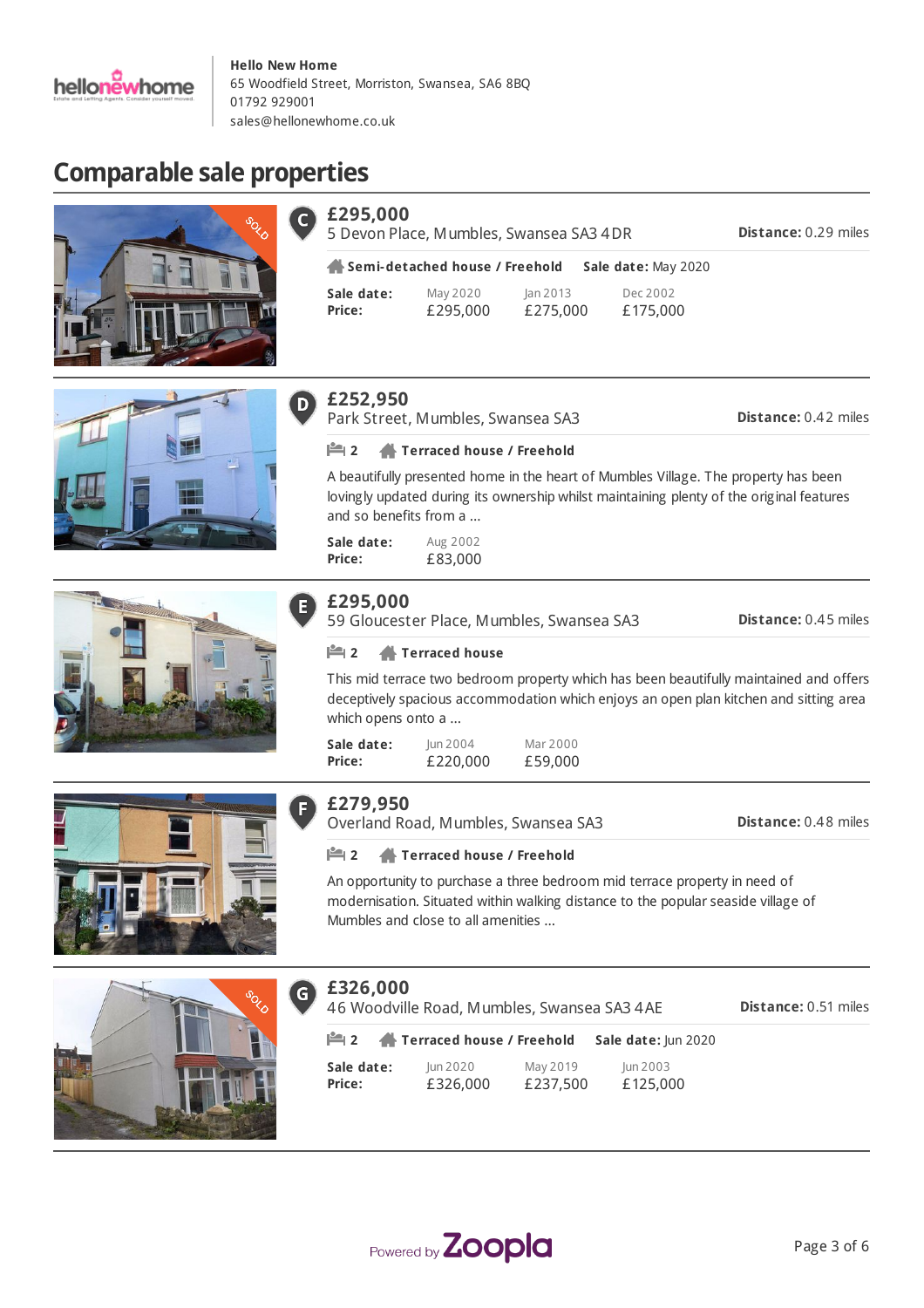

# **Comparable sale properties**



| £295,000             |                                | 5 Devon Place, Mumbles, Swansea SA3 4DR |                      | <b>Distance: 0.29 miles</b> |
|----------------------|--------------------------------|-----------------------------------------|----------------------|-----------------------------|
|                      | Semi-detached house / Freehold |                                         | Sale date: May 2020  |                             |
| Sale date:<br>Price: | May 2020<br>£295,000           | an 2013 <br>£275,000                    | Dec 2002<br>£175,000 |                             |









 $\mathsf{C}$ 

Park Street, Mumbles, Swansea SA3

**Distance:** 0.42 miles

#### **2 Terraced house / Freehold**

A beautifully presented home in the heart of Mumbles Village. The property has been lovingly updated during its ownership whilst maintaining plenty of the original features and so benefits from a ...

**Sale date: Price:** Aug 2002 £83,000

| 95.000 |
|--------|
|--------|

59 Gloucester Place, Mumbles, Swansea SA3

**Distance:** 0.45 miles

#### **2 Terraced house**

This mid terrace two bedroom property which has been beautifully maintained and offers deceptively spacious accommodation which enjoys an open plan kitchen and sitting area which opens onto a ...

| Sale date: | lun 2004 | Mar 2000 |
|------------|----------|----------|
| Price:     | £220,000 | £59,000  |



## **£279,950**

Overland Road, Mumbles, Swansea SA3

**Distance:** 0.48 miles

#### **2 Terraced house / Freehold**

An opportunity to purchase a three bedroom mid terrace property in need of modernisation. Situated within walking distance to the popular seaside village of Mumbles and close to all amenities ...



#### **£326,000**  $\mathsf{G}$

**Distance:** 0.51 miles 46 Woodville Road, Mumbles, Swansea SA3 4AE

| $\mathbb{M}$ 2 | Terraced house / Freehold |          | Sale date: Jun 2020 |
|----------------|---------------------------|----------|---------------------|
| Sale date:     | lun 2020                  | May 2019 | lun 2003            |
| <b>Price:</b>  | £326,000                  | £237,500 | £125,000            |

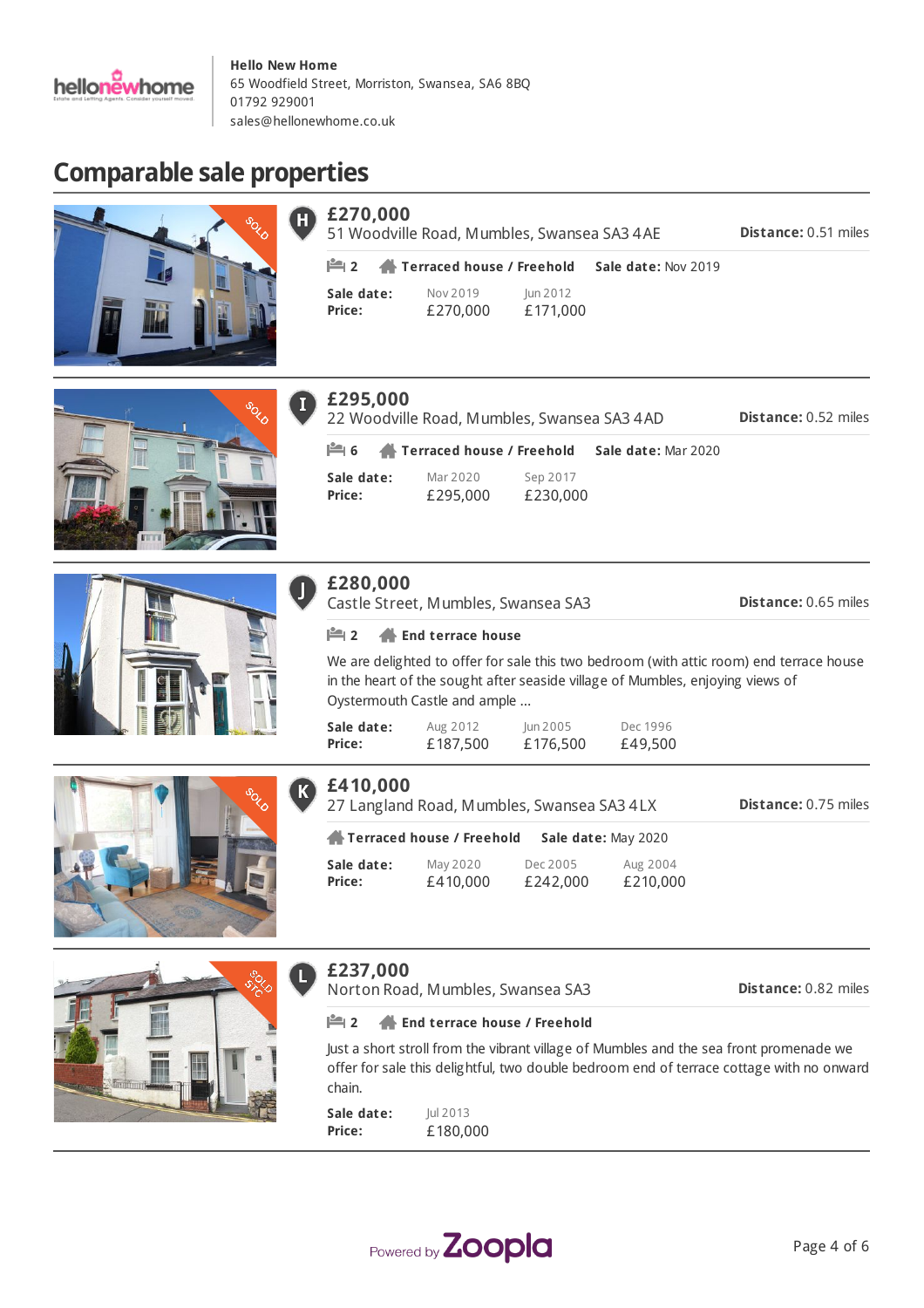

# **Comparable sale properties**



| £270,000             | 51 Woodville Road, Mumbles, Swansea SA3 4AE           |                      |                            | <b>Distance: 0.51 miles</b> |
|----------------------|-------------------------------------------------------|----------------------|----------------------------|-----------------------------|
|                      | $\mathbb{H}$ 2 $\mathbb{A}$ Terraced house / Freehold |                      | <b>Sale date: Nov 2019</b> |                             |
| Sale date:<br>Price: | Nov 2019<br>£270,000                                  | Jun 2012<br>£171,000 |                            |                             |

Sep 2017 £230,000

**6 Terraced house / Freehold Sale date:** Mar 2020

Jun 2005

in the heart of the sought after seaside village of Mumbles, enjoying views of

We are delighted to offer for sale this two bedroom (with attic room) end terrace house











**Sale date:**

**Sale date: Price:**

**£280,000**

**£295,000**

Mar 2020 £295,000

22 Woodville Road, Mumbles, Swansea SA3 4AD

| Sale date: | Aug 2012 | Jun 2005                                   | Dec 1996 |
|------------|----------|--------------------------------------------|----------|
| Price:     | £187,500 | £176,500                                   | £49,500  |
| £410,000   |          | 27 Langland Road, Mumbles, Swansea SA3 4LX |          |

Aug 2012

Castle Street, Mumbles, Swansea SA3

**2 End terrace house**

Oystermouth Castle and ample ...

| Sale date:<br>May 2020<br>Aug 2004<br>Dec 2005 |        | Terraced house / Freehold | Sale date: May 2020 |          |
|------------------------------------------------|--------|---------------------------|---------------------|----------|
|                                                | Price: | £410,000                  | £242,000            | £210,000 |



## **£237,000**

L

Norton Road, Mumbles, Swansea SA3

**Distance:** 0.82 miles

**Distance:** 0.75 miles

**Distance:** 0.52 miles

**Distance:** 0.65 miles

#### **2 End terrace house / Freehold**

Just a short stroll from the vibrant village of Mumbles and the sea front promenade we offer for sale this delightful, two double bedroom end of terrace cottage with no onward chain.

**Sale date: Price:** Jul 2013 £180,000

Powered by **Zoopla**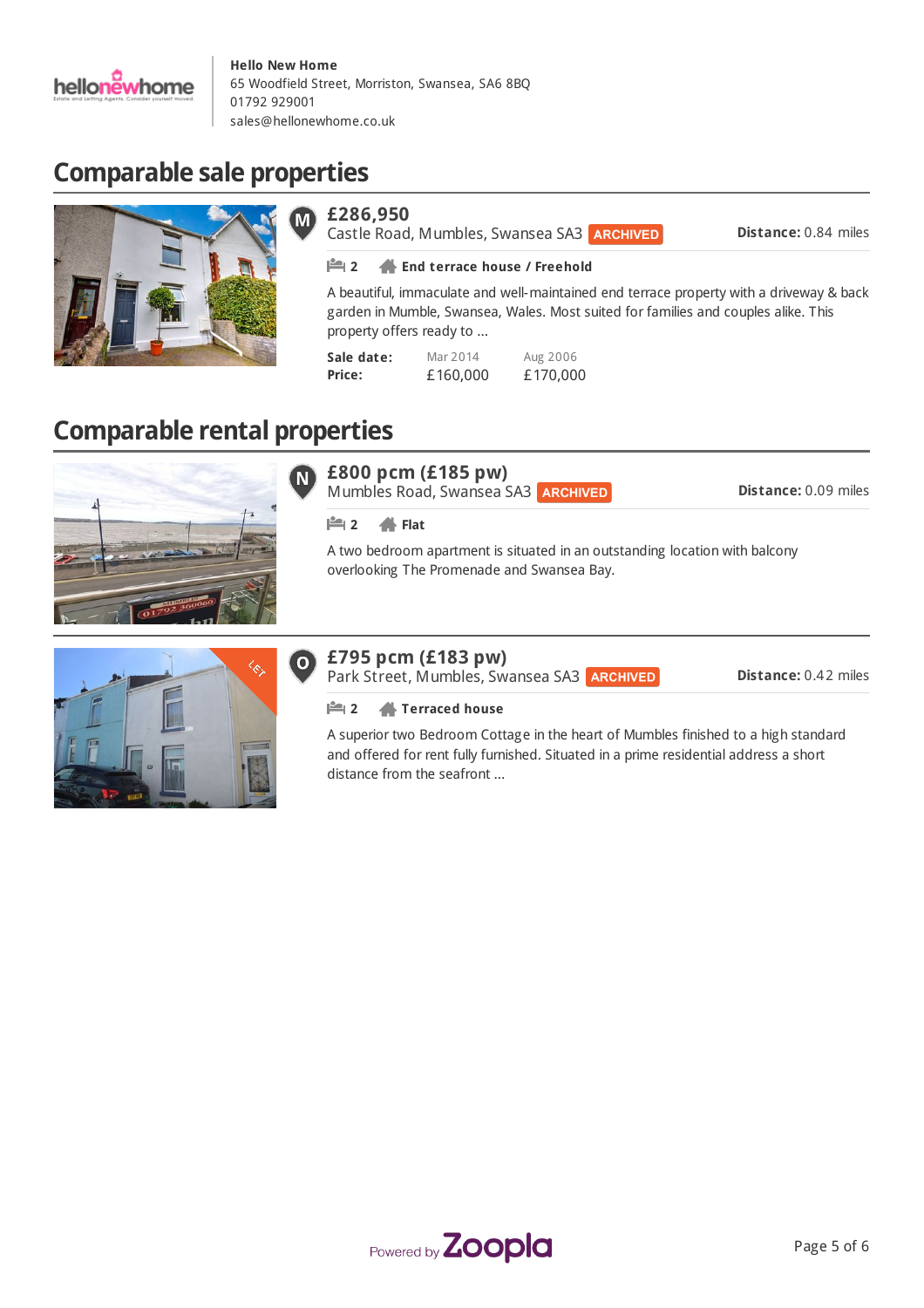

# **Comparable sale properties**



### **£286,950**

Castle Road, Mumbles, Swansea SA3 ARCHIVED

**Distance:** 0.84 miles

#### **2 End terrace house / Freehold**

A beautiful, immaculate and well-maintained end terrace property with a driveway & back garden in Mumble, Swansea, Wales. Most suited for families and couples alike. This property offers ready to ...

| Sale date: | Mar 2014 | Aug 2006 |
|------------|----------|----------|
| Price:     | £160,000 | £170,000 |

# **Comparable rental properties**



#### **£800 pcm (£185 pw)**  $\bf N$

Mumbles Road, Swansea SA3 **ARCHIVED** 

**Distance:** 0.09 miles

#### **2 Flat**

A two bedroom apartment is situated in an outstanding location with balcony overlooking The Promenade and Swansea Bay.

#### **£795 pcm (£183 pw)**  $\mathbf{O}$

Park Street, Mumbles, Swansea SA3 ARCHIVED

**Distance:** 0.42 miles

**2 Terraced house**

A superior two Bedroom Cottage in the heart of Mumbles finished to a high standard and offered for rent fully furnished. Situated in a prime residential address a short distance from the seafront ...